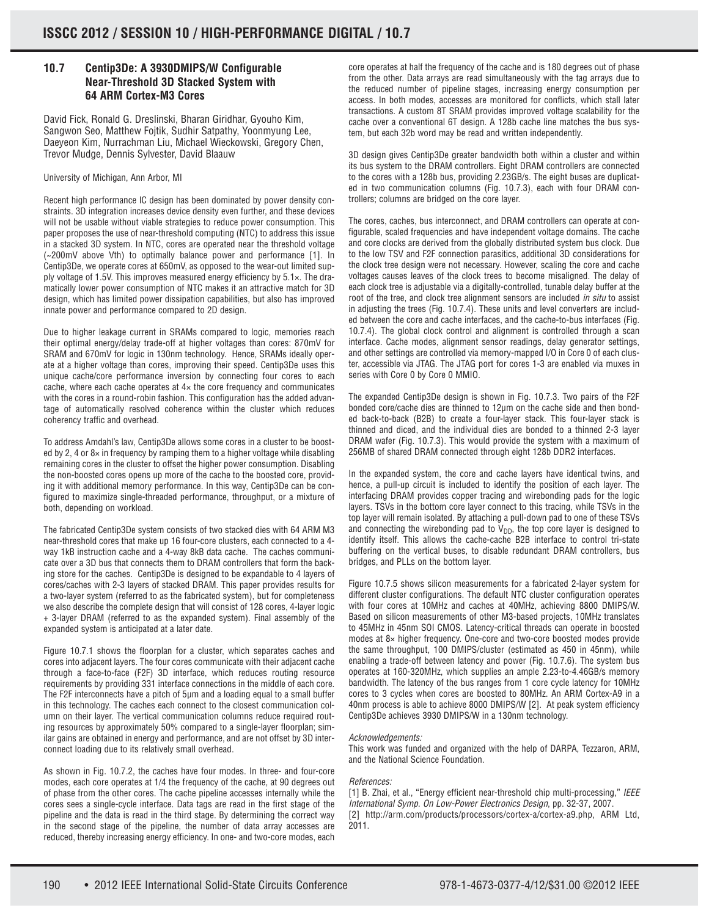## **10.7 Centip3De: A 3930DMIPS/W Configurable Near-Threshold 3D Stacked System with 64 ARM Cortex-M3 Cores**

David Fick, Ronald G. Dreslinski, Bharan Giridhar, Gyouho Kim, Sangwon Seo, Matthew Fojtik, Sudhir Satpathy, Yoonmyung Lee, Daeyeon Kim, Nurrachman Liu, Michael Wieckowski, Gregory Chen, Trevor Mudge, Dennis Sylvester, David Blaauw

### University of Michigan, Ann Arbor, MI

Recent high performance IC design has been dominated by power density constraints. 3D integration increases device density even further, and these devices will not be usable without viable strategies to reduce power consumption. This paper proposes the use of near-threshold computing (NTC) to address this issue in a stacked 3D system. In NTC, cores are operated near the threshold voltage (~200mV above Vth) to optimally balance power and performance [1]. In Centip3De, we operate cores at 650mV, as opposed to the wear-out limited supply voltage of 1.5V. This improves measured energy efficiency by 5.1×. The dramatically lower power consumption of NTC makes it an attractive match for 3D design, which has limited power dissipation capabilities, but also has improved innate power and performance compared to 2D design.

Due to higher leakage current in SRAMs compared to logic, memories reach their optimal energy/delay trade-off at higher voltages than cores: 870mV for SRAM and 670mV for logic in 130nm technology. Hence, SRAMs ideally operate at a higher voltage than cores, improving their speed. Centip3De uses this unique cache/core performance inversion by connecting four cores to each cache, where each cache operates at 4× the core frequency and communicates with the cores in a round-robin fashion. This configuration has the added advantage of automatically resolved coherence within the cluster which reduces coherency traffic and overhead.

To address Amdahl's law, Centip3De allows some cores in a cluster to be boosted by 2, 4 or  $8\times$  in frequency by ramping them to a higher voltage while disabling remaining cores in the cluster to offset the higher power consumption. Disabling the non-boosted cores opens up more of the cache to the boosted core, providing it with additional memory performance. In this way, Centip3De can be configured to maximize single-threaded performance, throughput, or a mixture of both, depending on workload.

The fabricated Centip3De system consists of two stacked dies with 64 ARM M3 near-threshold cores that make up 16 four-core clusters, each connected to a 4 way 1kB instruction cache and a 4-way 8kB data cache. The caches communicate over a 3D bus that connects them to DRAM controllers that form the backing store for the caches. Centip3De is designed to be expandable to 4 layers of cores/caches with 2-3 layers of stacked DRAM. This paper provides results for a two-layer system (referred to as the fabricated system), but for completeness we also describe the complete design that will consist of 128 cores, 4-layer logic + 3-layer DRAM (referred to as the expanded system). Final assembly of the expanded system is anticipated at a later date.

Figure 10.7.1 shows the floorplan for a cluster, which separates caches and cores into adjacent layers. The four cores communicate with their adjacent cache through a face-to-face (F2F) 3D interface, which reduces routing resource requirements by providing 331 interface connections in the middle of each core. The F2F interconnects have a pitch of 5μm and a loading equal to a small buffer in this technology. The caches each connect to the closest communication column on their layer. The vertical communication columns reduce required routing resources by approximately 50% compared to a single-layer floorplan; similar gains are obtained in energy and performance, and are not offset by 3D interconnect loading due to its relatively small overhead.

As shown in Fig. 10.7.2, the caches have four modes. In three- and four-core modes, each core operates at 1/4 the frequency of the cache, at 90 degrees out of phase from the other cores. The cache pipeline accesses internally while the cores sees a single-cycle interface. Data tags are read in the first stage of the pipeline and the data is read in the third stage. By determining the correct way in the second stage of the pipeline, the number of data array accesses are reduced, thereby increasing energy efficiency. In one- and two-core modes, each

core operates at half the frequency of the cache and is 180 degrees out of phase from the other. Data arrays are read simultaneously with the tag arrays due to the reduced number of pipeline stages, increasing energy consumption per access. In both modes, accesses are monitored for conflicts, which stall later transactions. A custom 8T SRAM provides improved voltage scalability for the cache over a conventional 6T design. A 128b cache line matches the bus system, but each 32b word may be read and written independently.

3D design gives Centip3De greater bandwidth both within a cluster and within its bus system to the DRAM controllers. Eight DRAM controllers are connected to the cores with a 128b bus, providing 2.23GB/s. The eight buses are duplicated in two communication columns (Fig. 10.7.3), each with four DRAM controllers; columns are bridged on the core layer.

The cores, caches, bus interconnect, and DRAM controllers can operate at configurable, scaled frequencies and have independent voltage domains. The cache and core clocks are derived from the globally distributed system bus clock. Due to the low TSV and F2F connection parasitics, additional 3D considerations for the clock tree design were not necessary. However, scaling the core and cache voltages causes leaves of the clock trees to become misaligned. The delay of each clock tree is adjustable via a digitally-controlled, tunable delay buffer at the root of the tree, and clock tree alignment sensors are included in situ to assist in adjusting the trees (Fig. 10.7.4). These units and level converters are included between the core and cache interfaces, and the cache-to-bus interfaces (Fig. 10.7.4). The global clock control and alignment is controlled through a scan interface. Cache modes, alignment sensor readings, delay generator settings, and other settings are controlled via memory-mapped I/O in Core 0 of each cluster, accessible via JTAG. The JTAG port for cores 1-3 are enabled via muxes in series with Core 0 by Core 0 MMIO.

The expanded Centip3De design is shown in Fig. 10.7.3. Two pairs of the F2F bonded core/cache dies are thinned to 12μm on the cache side and then bonded back-to-back (B2B) to create a four-layer stack. This four-layer stack is thinned and diced, and the individual dies are bonded to a thinned 2-3 layer DRAM wafer (Fig. 10.7.3). This would provide the system with a maximum of 256MB of shared DRAM connected through eight 128b DDR2 interfaces.

In the expanded system, the core and cache layers have identical twins, and hence, a pull-up circuit is included to identify the position of each layer. The interfacing DRAM provides copper tracing and wirebonding pads for the logic layers. TSVs in the bottom core layer connect to this tracing, while TSVs in the top layer will remain isolated. By attaching a pull-down pad to one of these TSVs and connecting the wirebonding pad to  $V_{DD}$ , the top core layer is designed to identify itself. This allows the cache-cache B2B interface to control tri-state buffering on the vertical buses, to disable redundant DRAM controllers, bus bridges, and PLLs on the bottom layer.

Figure 10.7.5 shows silicon measurements for a fabricated 2-layer system for different cluster configurations. The default NTC cluster configuration operates with four cores at 10MHz and caches at 40MHz, achieving 8800 DMIPS/W. Based on silicon measurements of other M3-based projects, 10MHz translates to 45MHz in 45nm SOI CMOS. Latency-critical threads can operate in boosted modes at 8× higher frequency. One-core and two-core boosted modes provide the same throughput, 100 DMIPS/cluster (estimated as 450 in 45nm), while enabling a trade-off between latency and power (Fig. 10.7.6). The system bus operates at 160-320MHz, which supplies an ample 2.23-to-4.46GB/s memory bandwidth. The latency of the bus ranges from 1 core cycle latency for 10MHz cores to 3 cycles when cores are boosted to 80MHz. An ARM Cortex-A9 in a 40nm process is able to achieve 8000 DMIPS/W [2]. At peak system efficiency Centip3De achieves 3930 DMIPS/W in a 130nm technology.

#### Acknowledgements:

This work was funded and organized with the help of DARPA, Tezzaron, ARM, and the National Science Foundation.

#### References:

[1] B. Zhai, et al., "Energy efficient near-threshold chip multi-processing," IEEE International Symp. On Low-Power Electronics Design, pp. 32-37, 2007.

[2] http://arm.com/products/processors/cortex-a/cortex-a9.php, ARM Ltd, 2011.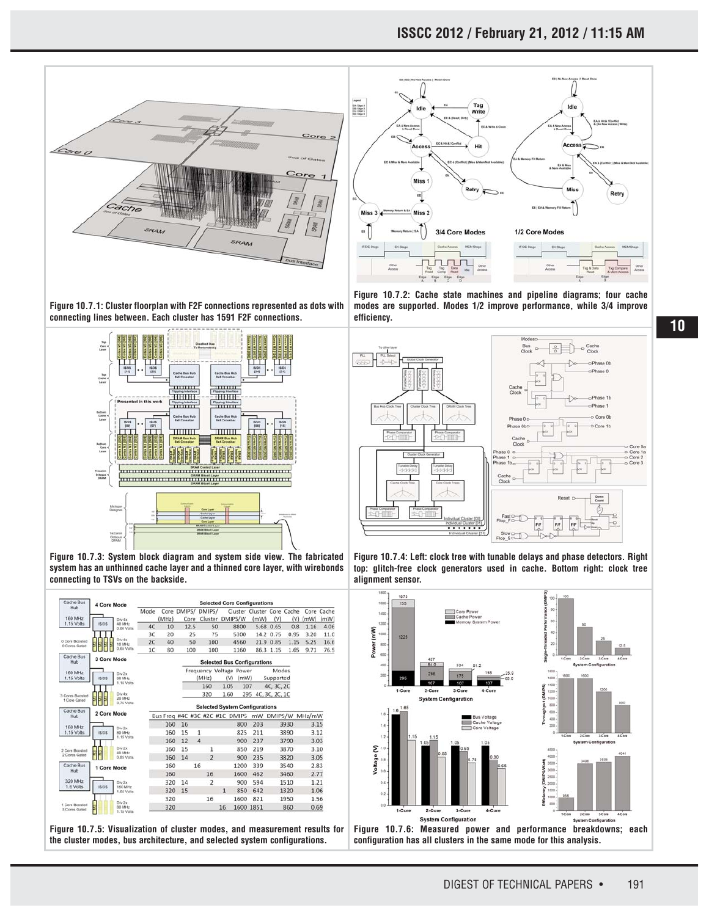



**Figure 10.7.1: Cluster floorplan with F2F connections represented as dots with connecting lines between. Each cluster has 1591 F2F connections.**



**Figure 10.7.3: System block diagram and system side view. The fabricated system has an unthinned cache layer and a thinned core layer, with wirebonds connecting to TSVs on the backside.**

| Cache Bus                              | 4 Core Mode                      |                      | <b>Selected Core Configurations</b> |                                                  |      |      |                         |     |              |      |                                       |                |      |            |      |  |
|----------------------------------------|----------------------------------|----------------------|-------------------------------------|--------------------------------------------------|------|------|-------------------------|-----|--------------|------|---------------------------------------|----------------|------|------------|------|--|
| Hub                                    |                                  |                      | Mode                                | Core DMIPS/                                      |      |      | DMIPS/                  |     |              |      | Cluster Cluster Core Cache            |                |      | Core Cache |      |  |
| 160 MHz                                | Div 4x                           |                      |                                     | (MHz)                                            | Core |      | Cluster DMIPS/W         |     |              | (mW) | (V)                                   | (V)            | (mW) | (mW)       |      |  |
| 1.15 Volts                             | IS/DS                            | 40 MHz<br>0.80 Volts | AC                                  | 10                                               |      | 12.5 |                         | 50  |              | 8800 | 5.68                                  | 0.65           | 0.8  | 1.16       | 4.06 |  |
| 0 Core Boosted<br><b>G</b> Cores Gated |                                  |                      | 3C                                  | 20                                               |      | 25   |                         | 75  |              | 5300 |                                       | 14.2 0.75      | 0.95 | 3.20       | 11.0 |  |
|                                        |                                  | Div 4x<br>10 MHz     | 40<br>2C                            |                                                  | 50   |      | 100                     |     | 4560         |      |                                       | 21.9 0.85      | 1.15 | 5.25       | 16.6 |  |
|                                        |                                  | 0.65 Volts           | 1C                                  | 80                                               |      | 100  | 100                     |     |              | 1160 |                                       | 86.3 1.15      | 1.65 | 9.71       | 76.5 |  |
| Cache Bus<br>Hub                       | 3 Core Mode                      |                      |                                     | <b>Selected Bus Configurations</b>               |      |      |                         |     |              |      |                                       |                |      |            |      |  |
| 160 MHz                                |                                  |                      |                                     |                                                  |      |      | Frequency Voltage Power |     |              |      |                                       | Modes          |      |            |      |  |
| 1.15 Volts                             | Div 2x<br>is/DS<br><b>BD MHz</b> |                      |                                     |                                                  |      |      | (MHz)                   | (v) |              | (mW) |                                       | Supported      |      |            |      |  |
|                                        |                                  | 1.15 Volts           |                                     |                                                  |      |      | 160                     |     | 1.05         | 107  |                                       | 4C, 3C, 2C     |      |            |      |  |
| 3 Cores Roosted<br>1 Core Gated        |                                  | Div da               |                                     |                                                  |      |      | 320                     |     | 1.60         | 295  |                                       | 4C, 3C, 2C, 1C |      |            |      |  |
|                                        |                                  | 20 MHz<br>0.75 Volts |                                     |                                                  |      |      |                         |     |              |      | <b>Selected System Configurations</b> |                |      |            |      |  |
| Cache Bus<br>Hub                       | 2 Core Mode                      |                      |                                     | Bus Freq #4C #3C #2C #1C DMIPS mW DMIPS/W MHz/mW |      |      |                         |     |              |      |                                       |                |      |            |      |  |
|                                        |                                  |                      |                                     | 160                                              | 16   |      |                         |     |              | 800  | 203                                   |                | 3930 | 3.15       |      |  |
| 160 MHz<br>1.15 Volts                  | <b>ISIDS</b>                     | Div 2x               |                                     |                                                  |      |      |                         |     |              |      |                                       |                |      |            |      |  |
|                                        |                                  | 80 MHz<br>1.15 Volta |                                     | 160                                              | 15   |      | 1                       |     |              | 825  | 211                                   |                | 3890 | 3.12       |      |  |
| 2 Core Boosted<br>2 Cores Gated        | ł.<br>k                          | Div 2x<br>40 MHz     |                                     | 160                                              | 12   |      | $\Delta$                |     |              | 900  | 237                                   |                | 3790 | 3.03       |      |  |
|                                        |                                  |                      |                                     | 160                                              | 15   |      | 1                       |     |              | 850  | 219                                   |                | 3870 | 3.10       |      |  |
|                                        |                                  | 0.85 Volts           |                                     | 160                                              | 14   |      | $\overline{2}$          |     |              | 900  | 235                                   |                | 3820 | 3.05       |      |  |
| Cache Bus<br>Hub                       | 1 Core Mode                      |                      |                                     | 160                                              |      | 16   |                         |     |              | 1200 | 339                                   |                | 3540 | 2.83       |      |  |
|                                        |                                  |                      |                                     | 160                                              |      |      | 16                      |     |              | 1600 | 462                                   |                | 3460 | 2.77       |      |  |
| 320 MHz<br>1.6 Volts                   | is/DS                            | Div 2x<br>160 MHz    |                                     | 320                                              | 14   |      | $\overline{2}$          |     |              | 900  | 594                                   |                | 1510 | 1.21       |      |  |
|                                        |                                  | 1.65 Volts           |                                     | 320                                              | 15   |      |                         |     | $\mathbf{1}$ | 850  | 642                                   |                | 1320 | 1.06       |      |  |
| 1 Core Boosted<br>3 Cores Gated        |                                  | Div 2x               |                                     | 320                                              |      |      | 16                      |     |              | 1600 | 821                                   |                | 1950 | 1.56       |      |  |
|                                        |                                  | BD MHz               |                                     | 320                                              |      |      |                         |     | 16           |      | 1600 1851                             |                | 860  | 0.69       |      |  |

**Figure 10.7.5: Visualization of cluster modes, and measurement results for the cluster modes, bus architecture, and selected system configurations.**

**Figure 10.7.2: Cache state machines and pipeline diagrams; four cache modes are supported. Modes 1/2 improve performance, while 3/4 improve efficiency.**



**Figure 10.7.4: Left: clock tree with tunable delays and phase detectors. Right top: glitch-free clock generators used in cache. Bottom right: clock tree alignment sensor.**



**Figure 10.7.6: Measured power and performance breakdowns; each configuration has all clusters in the same mode for this analysis.**